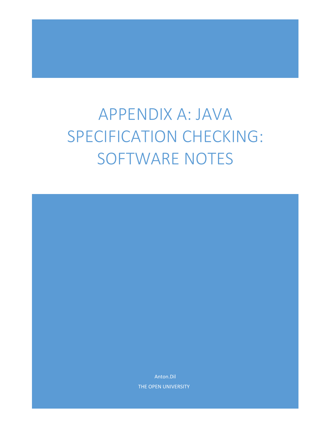# APPENDIX A: JAVA SPECIFICATION CHECKING: SOFTWARE NOTES

Anton.Dil THE OPEN UNIVERSITY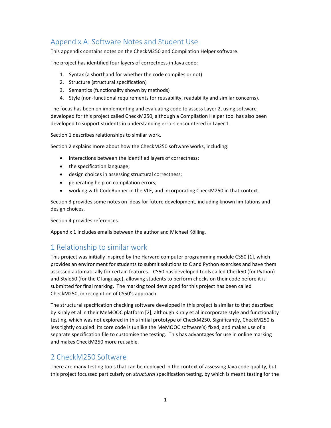# Appendix A: Software Notes and Student Use

This appendix contains notes on the CheckM250 and Compilation Helper software.

The project has identified four layers of correctness in Java code:

- 1. Syntax (a shorthand for whether the code compiles or not)
- 2. Structure (structural specification)
- 3. Semantics (functionality shown by methods)
- 4. Style (non-functional requirements for reusability, readability and similar concerns).

The focus has been on implementing and evaluating code to assess Layer 2, using software developed for this project called CheckM250, although a Compilation Helper tool has also been developed to support students in understanding errors encountered in Layer 1.

Section 1 describes relationships to similar work.

Section 2 explains more about how the CheckM250 software works, including:

- interactions between the identified layers of correctness;
- the specification language;
- design choices in assessing structural correctness;
- generating help on compilation errors;
- working with CodeRunner in the VLE, and incorporating CheckM250 in that context.

Section 3 provides some notes on ideas for future development, including known limitations and design choices.

Section 4 provides references.

Appendix 1 includes emails between the author and Michael Kölling.

# 1 Relationship to similar work

This project was initially inspired by the Harvard computer programming module CS50 [1], which provides an environment for students to submit solutions to C and Python exercises and have them assessed automatically for certain features. CS50 has developed tools called Check50 (for Python) and Style50 (for the C language), allowing students to perform checks on their code before it is submitted for final marking. The marking tool developed for this project has been called CheckM250, in recognition of CS50's approach.

The structural specification checking software developed in this project is similar to that described by Kiraly et al in their MeMOOC platform [2], although Kiraly et al incorporate style and functionality testing, which was not explored in this initial prototype of CheckM250. Significantly, CheckM250 is less tightly coupled: its core code is (unlike the MeMOOC software's) fixed, and makes use of a separate specification file to customise the testing. This has advantages for use in online marking and makes CheckM250 more reusable.

# 2 CheckM250 Software

There are many testing tools that can be deployed in the context of assessing Java code quality, but this project focussed particularly on *structural* specification testing, by which is meant testing for the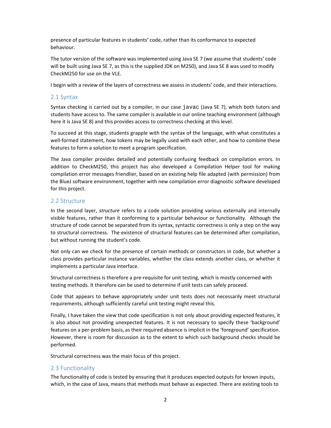presence of particular features in students' code, rather than its conformance to expected behaviour.

The tutor version of the software was implemented using Java SE 7 (we assume that students' code will be built using Java SE 7, as this is the supplied JDK on M250), and Java SE 8 was used to modify CheckM250 for use on the VLE.

I begin with a review of the layers of correctness we assess in students' code, and their interactions.

# 2.1 Syntax

Syntax checking is carried out by a compiler, in our case javac (Java SE 7), which both tutors and students have access to. The same compiler is available in our online teaching environment (although here it is Java SE 8) and this provides access to correctness checking at this level.

To succeed at this stage, students grapple with the syntax of the language, with what constitutes a well-formed statement, how tokens may be legally used with each other, and how to combine these features to form a solution to meet a program specification.

The Java compiler provides detailed and potentially confusing feedback on compilation errors. In addition to CheckM250, this project has also developed a Compilation Helper tool for making compilation error messages friendlier, based on an existing help file adapted (with permission) from the BlueJ software environment, together with new compilation error diagnostic software developed for this project.

# 2.2 Structure

In the second layer, *structure* refers to a code solution providing various externally and internally visible features, rather than it conforming to a particular behaviour or functionality. Although the structure of code cannot be separated from its syntax, syntactic correctness is only a step on the way to structural correctness. The existence of structural features can be determined after compilation, but without running the student's code.

Not only can we check for the presence of certain methods or constructors in code, but whether a class provides particular instance variables, whether the class extends another class, or whether it implements a particular Java interface.

Structural correctness is therefore a pre‐requisite for unit testing, which is mostly concerned with testing methods. It therefore can be used to determine if unit tests can safely proceed.

Code that appears to behave appropriately under unit tests does not necessarily meet structural requirements, although sufficiently careful unit testing might reveal this.

Finally, I have taken the view that code specification is not only about providing expected features, it is also about not providing unexpected features. It is not necessary to specify these 'background' features on a per-problem basis, as their required absence is implicit in the 'foreground' specification. However, there is room for discussion as to the extent to which such background checks should be performed.

Structural correctness was the main focus of this project.

# 2.3 Functionality

The functionality of code is tested by ensuring that it produces expected outputs for known inputs, which, in the case of Java, means that methods must behave as expected. There are existing tools to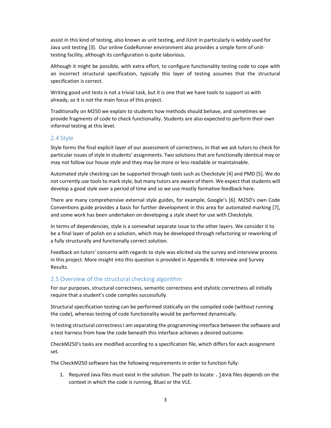assist in this kind of testing, also known as unit testing, and JUnit in particularly is widely used for Java unit testing [3]. Our online CodeRunner environment also provides a simple form of unit‐ testing facility, although its configuration is quite laborious.

Although it might be possible, with extra effort, to configure functionality testing code to cope with an incorrect structural specification, typically this layer of testing assumes that the structural specification is correct.

Writing good unit tests is not a trivial task, but it is one that we have tools to support us with already, so it is not the main focus of this project.

Traditionally on M250 we explain to students how methods should behave, and sometimes we provide fragments of code to check functionality. Students are also expected to perform their own informal testing at this level.

# 2.4 Style

Style forms the final explicit layer of our assessment of correctness, in that we ask tutors to check for particular issues of style in students' assignments. Two solutions that are functionally identical may or may not follow our house style and they may be more or less readable or maintainable.

Automated style checking can be supported through tools such as Checkstyle [4] and PMD [5]. We do not currently use tools to mark style, but many tutors are aware of them. We expect that students will develop a good style over a period of time and so we use mostly formative feedback here.

There are many comprehensive external style guides, for example, Google's [6]. M250's own Code Conventions guide provides a basis for further development in this area for automated marking [7], and some work has been undertaken on developing a style sheet for use with Checkstyle.

In terms of dependencies, style is a somewhat separate issue to the other layers. We consider it to be a final layer of polish on a solution, which may be developed through refactoring or reworking of a fully structurally and functionally correct solution.

Feedback on tutors' concerns with regards to style was elicited via the survey and interview process in this project. More insight into this question is provided in Appendix B: Interview and Survey Results.

# 2.5 Overview of the structural checking algorithm

For our purposes, structural correctness, semantic correctness and stylistic correctness all initially require that a student's code compiles successfully.

Structural specification testing can be performed statically on the compiled code (without running the code), whereas testing of code functionality would be performed dynamically.

In testing structural correctness I am separating the programming interface between the software and a test harness from how the code beneath this interface achieves a desired outcome.

CheckM250's tasks are modified according to a specification file, which differs for each assignment set.

The CheckM250 software has the following requirements in order to function fully:

1. Required Java files must exist in the solution. The path to locate .java files depends on the context in which the code is running, BlueJ or the VLE.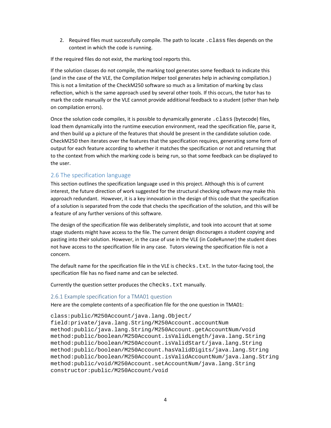2. Required files must successfully compile. The path to locate .class files depends on the context in which the code is running.

If the required files do not exist, the marking tool reports this.

If the solution classes do not compile, the marking tool generates some feedback to indicate this (and in the case of the VLE, the Compilation Helper tool generates help in achieving compilation.) This is not a limitation of the CheckM250 software so much as a limitation of marking by class reflection, which is the same approach used by several other tools. If this occurs, the tutor has to mark the code manually or the VLE cannot provide additional feedback to a student (other than help on compilation errors).

Once the solution code compiles, it is possible to dynamically generate .class (bytecode) files, load them dynamically into the runtime execution environment, read the specification file, parse it, and then build up a picture of the features that should be present in the candidate solution code. CheckM250 then iterates over the features that the specification requires, generating some form of output for each feature according to whether it matches the specification or not and returning that to the context from which the marking code is being run, so that some feedback can be displayed to the user.

# 2.6 The specification language

This section outlines the specification language used in this project. Although this is of current interest, the future direction of work suggested for the structural checking software may make this approach redundant. However, it is a key innovation in the design of this code that the specification of a solution is separated from the code that checks the specification of the solution, and this will be a feature of any further versions of this software.

The design of the specification file was deliberately simplistic, and took into account that at some stage students might have access to the file. The current design discourages a student copying and pasting into their solution. However, in the case of use in the VLE (in CodeRunner) the student does not have access to the specification file in any case. Tutors viewing the specification file is not a concern.

The default name for the specification file in the VLE is checks.txt. In the tutor-facing tool, the specification file has no fixed name and can be selected.

Currently the question setter produces the checks.txt manually.

#### 2.6.1 Example specification for a TMA01 question

Here are the complete contents of a specification file for the one question in TMA01:

```
class:public/M250Account/java.lang.Object/ 
field:private/java.lang.String/M250Account.accountNum 
method:public/java.lang.String/M250Account.getAccountNum/void 
method:public/boolean/M250Account.isValidLength/java.lang.String 
method:public/boolean/M250Account.isValidStart/java.lang.String 
method:public/boolean/M250Account.hasValidDigits/java.lang.String 
method:public/boolean/M250Account.isValidAccountNum/java.lang.String 
method:public/void/M250Account.setAccountNum/java.lang.String 
constructor:public/M250Account/void
```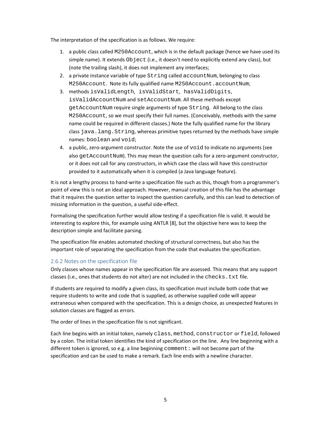The interpretation of the specification is as follows. We require:

- 1. a public class called M250Account, which is in the default package (hence we have used its simple name). It extends Object (i.e., it doesn't need to explicitly extend any class), but (note the trailing slash), it does not implement any interfaces;
- 2. a private instance variable of type String called accountNum, belonging to class M250Account. Note its fully qualified name M250Account.accountNum;
- 3. methods isValidLength, isValidStart, hasValidDigits, isValidAccountNum and setAccountNum. All these methods except getAccountNum require single arguments of type String. All belong to the class M250Account, so we must specify their full names. (Conceivably, methods with the same name could be required in different classes.) Note the fully qualified name for the library class java.lang.String, whereas primitive types returned by the methods have simple names: boolean and void;
- 4. a public, zero-argument constructor. Note the use of void to indicate no arguments (see also getAccountNum). This may mean the question calls for a zero‐argument constructor, or it does not call for any constructors, in which case the class will have this constructor provided to it automatically when it is compiled (a Java language feature).

It is not a lengthy process to hand-write a specification file such as this, though from a programmer's point of view this is not an ideal approach. However, manual creation of this file has the advantage that it requires the question setter to inspect the question carefully, and this can lead to detection of missing information in the question, a useful side‐effect.

Formalising the specification further would allow testing if a specification file is valid. It would be interesting to explore this, for example using ANTLR [8], but the objective here was to keep the description simple and facilitate parsing.

The specification file enables automated checking of structural correctness, but also has the important role of separating the specification from the code that evaluates the specification.

# 2.6.2 Notes on the specification file

Only classes whose names appear in the specification file are assessed. This means that any support classes (i.e., ones that students do not alter) are not included in the checks.txt file.

If students are required to modify a given class, its specification must include both code that we require students to write and code that is supplied, as otherwise supplied code will appear extraneous when compared with the specification. This is a design choice, as unexpected features in solution classes are flagged as errors.

The order of lines in the specification file is not significant.

Each line begins with an initial token, namely class, method, constructor or field, followed by a colon. The initial token identifies the kind of specification on the line. Any line beginning with a different token is ignored, so e.g. a line beginning comment: will not become part of the specification and can be used to make a remark. Each line ends with a newline character.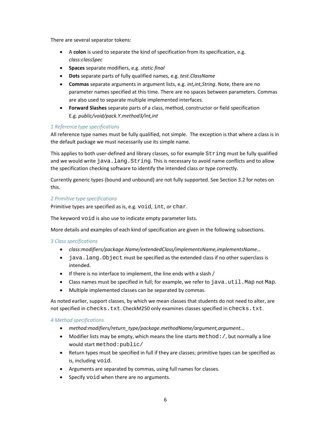There are several separator tokens:

- A **colon** is used to separate the kind of specification from its specification, e.g. *class:classSpec*
- **Spaces** separate modifiers, e.g. *static final*
- **Dots** separate parts of fully qualified names, e.g. *test.ClassName*
- **Commas** separate arguments in argument lists, e.g. *int,int,String*. Note, there are no parameter names specified at this time. There are no spaces between parameters. Commas are also used to separate multiple implemented interfaces.
- **Forward Slashes** separate parts of a class, method, constructor or field specification E.g. *public/void/pack.Y.method3/int,int*

# *1 Reference type specifications*

All reference type names must be fully qualified, not simple. The exception is that where a class is in the default package we must necessarily use its simple name.

This applies to both user-defined and library classes, so for example  $String$  must be fully qualified and we would write java.lang.String. This is necessary to avoid name conflicts and to allow the specification checking software to identify the intended class or type correctly.

Currently generic types (bound and unbound) are not fully supported. See Section 3.2 for notes on this.

#### *2 Primitive type specifications*

Primitive types are specified as is, e.g. void, int, or char.

The keyword void is also use to indicate empty parameter lists.

More details and examples of each kind of specification are given in the following subsections.

#### *3 Class specifications*

- *class:modifiers/package.Name/extendedClass/implementsName,implementsName…*
- java.lang.Object must be specified as the extended class if no other superclass is intended.
- $\bullet$  If there is no interface to implement, the line ends with a slash /
- $\bullet$  Class names must be specified in full; for example, we refer to java.util.Map not Map.
- Multiple implemented classes can be separated by commas.

As noted earlier, support classes, by which we mean classes that students do not need to alter, are not specified in checks.txt. CheckM250 only examines classes specified in checks.txt.

#### *4 Method specifications*

- *method:modifiers/return\_type/package.methodName/argument,argument...*
- Modifier lists may be empty, which means the line starts method:  $/$ , but normally a line would start method:public/
- Return types must be specified in full if they are classes; primitive types can be specified as is, including void.
- Arguments are separated by commas, using full names for classes.
- Specify void when there are no arguments.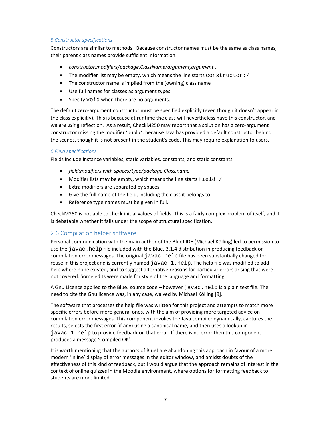## *5 Constructor specifications*

Constructors are similar to methods. Because constructor names must be the same as class names, their parent class names provide sufficient information.

- *constructor:modifiers/package.ClassName/argument,argument...*
- The modifier list may be empty, which means the line starts constructor: /
- The constructor name is implied from the (owning) class name
- Use full names for classes as argument types.
- Specify void when there are no arguments.

The default zero-argument constructor must be specified explicitly (even though it doesn't appear in the class explicitly). This is because at runtime the class will nevertheless have this constructor, and we are using reflection. As a result, CheckM250 may report that a solution has a zero-argument constructor missing the modifier 'public', because Java has provided a default constructor behind the scenes, though it is not present in the student's code. This may require explanation to users.

#### *6 Field specifications*

Fields include instance variables, static variables, constants, and static constants.

- *field:modifiers with spaces/type/package.Class.name*
- Modifier lists may be empty, which means the line starts  $field://$
- Extra modifiers are separated by spaces.
- Give the full name of the field, including the class it belongs to.
- Reference type names must be given in full.

CheckM250 is not able to check initial values of fields. This is a fairly complex problem of itself, and it is debatable whether it falls under the scope of structural specification.

# 2.6 Compilation helper software

Personal communication with the main author of the BlueJ IDE (Michael Kölling) led to permission to use the javac.help file included with the BlueJ 3.1.4 distribution in producing feedback on compilation error messages. The original javac.help file has been substantially changed for reuse in this project and is currently named  $javac_1.help$ . The help file was modified to add help where none existed, and to suggest alternative reasons for particular errors arising that were not covered. Some edits were made for style of the language and formatting.

A Gnu Licence applied to the BlueJ source code – however javac.help is a plain text file. The need to cite the Gnu licence was, in any case, waived by Michael Kölling [9].

The software that processes the help file was written for this project and attempts to match more specific errors before more general ones, with the aim of providing more targeted advice on compilation error messages. This component invokes the Java compiler dynamically, captures the results, selects the first error (if any) using a canonical name, and then uses a lookup in javac\_1.help to provide feedback on that error. If there is no error then this component produces a message 'Compiled OK'.

It is worth mentioning that the authors of BlueJ are abandoning this approach in favour of a more modern 'inline' display of error messages in the editor window, and amidst doubts of the effectiveness of this kind of feedback, but I would argue that the approach remains of interest in the context of online quizzes in the Moodle environment, where options for formatting feedback to students are more limited.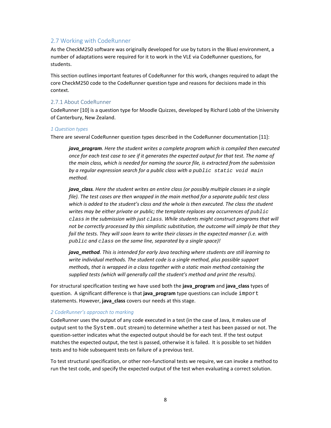# 2.7 Working with CodeRunner

As the CheckM250 software was originally developed for use by tutors in the BlueJ environment, a number of adaptations were required for it to work in the VLE via CodeRunner questions, for students.

This section outlines important features of CodeRunner for this work, changes required to adapt the core CheckM250 code to the CodeRunner question type and reasons for decisions made in this context.

#### 2.7.1 About CodeRunner

CodeRunner [10] is a question type for Moodle Quizzes, developed by Richard Lobb of the University of Canterbury, New Zealand.

#### *1 Question types*

There are several CodeRunner question types described in the CodeRunner documentation [11]:

*java\_program. Here the student writes a complete program which is compiled then executed* once for each test case to see if it generates the expected output for that test. The name of *the main class, which is needed for naming the source file, is extracted from the submission by a regular expression search for a public class with a public static void main method.*

*java\_class. Here the student writes an entire class (or possibly multiple classes in a single file). The test cases are then wrapped in the main method for a separate public test class which is added to the student's class and the whole is then executed. The class the student writes may be either private or public; the template replaces any occurrences of public class in the submission with just class. While students might construct programs that will not be correctly processed by this simplistic substitution, the outcome will simply be that they fail the tests. They will soon learn to write their classes in the expected manner (i.e. with public and class on the same line, separated by a single space)!*

*java\_method. This is intended for early Java teaching where students are still learning to write individual methods. The student code is a single method, plus possible support methods, that is wrapped in a class together with a static main method containing the supplied tests (which will generally call the student's method and print the results).*

For structural specification testing we have used both the **java\_program** and **java\_class** types of question. A significant difference is that **java\_program** type questions can include import statements. However, **java\_class** covers our needs at this stage.

#### *2 CodeRunner's approach to marking*

CodeRunner uses the output of any code executed in a test (in the case of Java, it makes use of output sent to the System.out stream) to determine whether a test has been passed or not. The question‐setter indicates what the expected output should be for each test. If the test output matches the expected output, the test is passed, otherwise it is failed. It is possible to set hidden tests and to hide subsequent tests on failure of a previous test.

To test structural specification, or other non‐functional tests we require, we can invoke a method to run the test code, and specify the expected output of the test when evaluating a correct solution.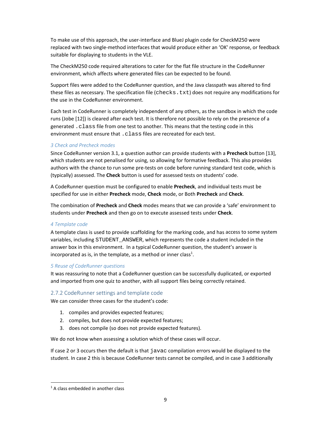To make use of this approach, the user‐interface and BlueJ plugin code for CheckM250 were replaced with two single‐method interfaces that would produce either an 'OK' response, or feedback suitable for displaying to students in the VLE.

The CheckM250 code required alterations to cater for the flat file structure in the CodeRunner environment, which affects where generated files can be expected to be found.

Support files were added to the CodeRunner question, and the Java classpath was altered to find these files as necessary. The specification file (checks.txt) does not require any modifications for the use in the CodeRunner environment.

Each test in CodeRunner is completely independent of any others, as the sandbox in which the code runs (Jobe [12]) is cleared after each test. It is therefore not possible to rely on the presence of a generated .class file from one test to another. This means that the testing code in this environment must ensure that . class files are recreated for each test.

# *3 Check and Precheck modes*

Since CodeRunner version 3.1, a question author can provide students with a **Precheck** button [13], which students are not penalised for using, so allowing for formative feedback. This also provides authors with the chance to run some pre‐tests on code before running standard test code, which is (typically) assessed. The **Check** button is used for assessed tests on students' code.

A CodeRunner question must be configured to enable **Precheck**, and individual tests must be specified for use in either **Precheck** mode, **Check** mode, or Both **Precheck** and **Check**.

The combination of **Precheck** and **Check** modes means that we can provide a 'safe' environment to students under **Precheck** and then go on to execute assessed tests under **Check**.

# *4 Template code*

A template class is used to provide scaffolding for the marking code, and has access to some system variables, including STUDENT\_ANSWER, which represents the code a student included in the answer box in this environment. In a typical CodeRunner question, the student's answer is incorporated as is, in the template, as a method or inner class<sup>1</sup>.

# *5 Reuse of CodeRunner questions*

It was reassuring to note that a CodeRunner question can be successfully duplicated, or exported and imported from one quiz to another, with all support files being correctly retained.

# 2.7.2 CodeRunner settings and template code

We can consider three cases for the student's code:

- 1. compiles and provides expected features;
- 2. compiles, but does not provide expected features;
- 3. does not compile (so does not provide expected features).

We do not know when assessing a solution which of these cases will occur.

If case 2 or 3 occurs then the default is that javac compilation errors would be displayed to the student. In case 2 this is because CodeRunner tests cannot be compiled, and in case 3 additionally

 <sup>1</sup> A class embedded in another class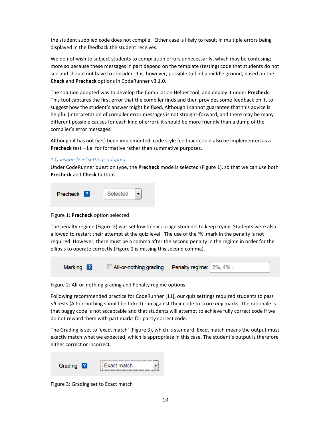the student supplied code does not compile. Either case is likely to result in multiple errors being displayed in the feedback the student receives.

We do not wish to subject students to compilation errors unnecessarily, which may be confusing; more so because these messages in part depend on the template (testing) code that students do not see and should not have to consider. It is, however, possible to find a middle ground, based on the **Check** and **Precheck** options in CodeRunner v3.1.0.

The solution adopted was to develop the Compilation Helper tool, and deploy it under **Precheck**. This tool captures the first error that the compiler finds and then provides some feedback on it, to suggest how the student's answer might be fixed. Although I cannot guarantee that this advice is helpful (interpretation of compiler error messages is not straight-forward, and there may be many different possible causes for each kind of error), it should be more friendly than a dump of the compiler's error messages.

Although it has not (yet) been implemented, code style feedback could also be implemented as a **Precheck** test – i.e. for formative rather than summative purposes.

## *1 Question‐level settings adopted*

Under CodeRunner question type, the **Precheck** mode is selected (Figure 1), so that we can use both **Precheck** and **Check** buttons.



Figure 1: **Precheck** option selected

The penalty regime (Figure 2) was set low to encourage students to keep trying. Students were also allowed to restart their attempt at the quiz level. The use of the '%' mark in the penalty is not required. However, there must be a comma after the second penalty in the regime in order for the ellipsis to operate correctly (Figure 2 is missing this second comma).



Figure 2: All‐or‐nothing grading and Penalty regime options

Following recommended practice for CodeRunner [11], our quiz settings required students to pass *all* tests (All‐or‐nothing should be ticked) run against their code to score *any* marks. The rationale is that buggy code is not acceptable and that students will attempt to achieve fully correct code if we do not reward them with part marks for partly correct code.

The Grading is set to 'exact match' (Figure 3), which is standard. Exact match means the output must exactly match what we expected, which is appropriate in this case. The student's output is therefore either correct or incorrect.

| Grading | 7 | Fxact match. |
|---------|---|--------------|
|         |   |              |

Figure 3: Grading set to Exact match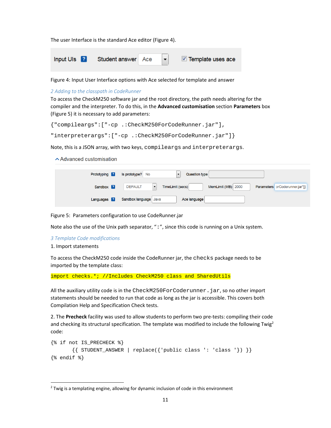The user Interface is the standard Ace editor (Figure 4).

| Input UIs <b>?</b> Student answer Ace | $\vert \bullet \vert$ | Template uses ace |
|---------------------------------------|-----------------------|-------------------|
|                                       |                       |                   |

Figure 4: Input User Interface options with Ace selected for template and answer

#### *2 Adding to the classpath in CodeRunner*

To access the CheckM250 software jar and the root directory, the path needs altering for the compiler and the interpreter. To do this, in the **Advanced customisation** section **Parameters** box (Figure 5) it is necessary to add parameters:

```
{"compileargs":["-cp .:CheckM250ForCodeRunner.jar"],
```
"interpreterargs":["-cp .:CheckM250ForCodeRunner.jar"]}

Note, this is a JSON array, with two keys, compileargs and interpreterargs.

 $\sim$  Advanced customisation

| Prototyping <b>2</b> | Is prototype? No<br>Question type                                                                                      |
|----------------------|------------------------------------------------------------------------------------------------------------------------|
| Sandbox <b>2</b>     | MemLimit (MB) 2000<br><b>DEFAULT</b><br>Parameters orCoderunner.jar"]}<br>TimeLimit (secs)<br>$\overline{\phantom{a}}$ |
| Languages <b>2</b>   | Sandbox language Java<br>Ace language                                                                                  |

Figure 5: Parameters configuration to use CodeRunner.jar

Note also the use of the Unix path separator, ":", since this code is running on a Unix system.

#### *3 Template Code modifications*

#### 1. Import statements

To access the CheckM250 code inside the CodeRunner jar, the checks package needs to be imported by the template class:

import checks.\*; //Includes CheckM250 class and SharedUtils

All the auxiliary utility code is in the CheckM250ForCoderunner.jar, so no other import statements should be needed to run that code as long as the jar is accessible. This covers both Compilation Help and Specification Check tests.

2. The **Precheck** facility was used to allow students to perform two pre‐tests: compiling their code and checking its structural specification. The template was modified to include the following Twig<sup>2</sup> code:

```
{% if not IS_PRECHECK %} 
        {\{ STUDENT_ANSWER | replace({\{ 'public class ': 'class '}) }}
\{\% \text{ endif } \$\}
```
 $<sup>2</sup>$  Twig is a templating engine, allowing for dynamic inclusion of code in this environment</sup>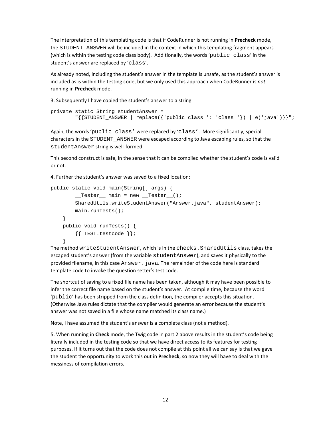The interpretation of this templating code is that if CodeRunner is not running in **Precheck** mode, the STUDENT\_ANSWER will be included in the context in which this templating fragment appears (which is within the testing code class body). Additionally, the words 'public class' in the student's answer are replaced by 'class'.

As already noted, including the student's answer in the template is unsafe, as the student's answer is included as is within the testing code, but we only used this approach when CodeRunner is *not* running in **Precheck** mode.

3. Subsequently I have copied the student's answer to a string

```
private static String studentAnswer = 
         "{{STUDENT_ANSWER | replace({'public class ': 'class '}) | e('java')}}";
```
Again, the words 'public class' were replaced by 'class'. More significantly, special characters in the STUDENT\_ANSWER were escaped according to Java escaping rules, so that the studentAnswer string is well‐formed.

This second construct is safe, in the sense that it can be compiled whether the student's code is valid or not.

4. Further the student's answer was saved to a fixed location:

```
public static void main(String[] args) { 
        _TEester main = new _TEester ( );
         SharedUtils.writeStudentAnswer("Answer.java", studentAnswer); 
         main.runTests(); 
     } 
     public void runTests() { 
         {{ TEST.testcode }}; 
     }
```
The method writeStudentAnswer, which is in the checks.SharedUtils class, takes the escaped student's answer (from the variable studentAnswer), and saves it physically to the provided filename, in this case Answer. java. The remainder of the code here is standard template code to invoke the question setter's test code.

The shortcut of saving to a fixed file name has been taken, although it may have been possible to infer the correct file name based on the student's answer. At compile time, because the word 'public' has been stripped from the class definition, the compiler accepts this situation. (Otherwise Java rules dictate that the compiler would generate an error because the student's answer was not saved in a file whose name matched its class name.)

Note, I have assumed the student's answer is a complete class (not a method).

5. When running in **Check** mode, the Twig code in part 2 above results in the student's code being literally included in the testing code so that we have direct access to its features for testing purposes. If it turns out that the code does not compile at this point all we can say is that we gave the student the opportunity to work this out in **Precheck**, so now they will have to deal with the messiness of compilation errors.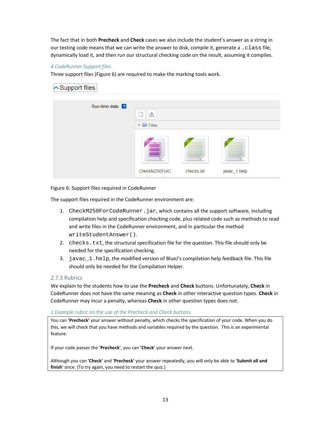The fact that in both **Precheck** and **Check** cases we also include the student's answer as a string in our testing code means that we can write the answer to disk, compile it, generate a . class file, dynamically load it, and then run our structural checking code on the result, assuming it compiles.

# *4 CodeRunner Support files*

Three support files (Figure 6) are required to make the marking tools work.

# **へ Support files**

| Run-time data ? | 齿<br>$\blacktriangleright$ $\blacksquare$ Files |            |              |
|-----------------|-------------------------------------------------|------------|--------------|
|                 | CheckM250ForC<br>×<br>$\sim$                    | checks.txt | javac_1.help |

## Figure 6: Support files required in CodeRunner

The support files required in the CodeRunner environment are:

- 1. CheckM250ForCodeRunner.jar, which contains all the support software, including compilation help and specification checking code, plus related code such as methods to read and write files in the CodeRunner environment, and in particular the method writeStudentAnswer().
- 2. checks.txt, the structural specification file for the question. This file should only be needed for the specification checking.
- 3. javac\_1.help, the modified version of BlueJ's compilation help feedback file. This file should only be needed for the Compilation Helper.

# 2.7.3 Rubrics

We explain to the students how to use the **Precheck** and **Check** buttons. Unfortunately, **Check** in CodeRunner does not have the same meaning as **Check** in other interactive question types. **Check** in CodeRunner may incur a penalty, whereas **Check** in other question types does not.

#### *1 Example rubric on the use of the Precheck and Check buttons*

You can **'Precheck'** your answer without penalty, which checks the specification of your code. When you do this, we will check that you have methods and variables required by the question. This is an experimental feature.

If your code passes the **'Precheck'**, you can **'Check'** your answer next.

Although you can **'Check'** and **'Precheck'** your answer repeatedly, you will only be able to '**Submit all and finish**' once. (To try again, you need to restart the quiz.)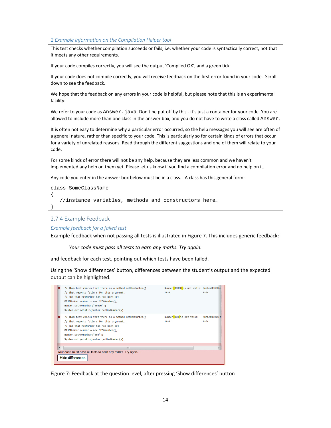#### *2 Example information on the Compilation Helper tool*

This test checks whether compilation succeeds or fails, i.e. whether your code is syntactically correct, not that it meets any other requirements.

If your code compiles correctly, you will see the output 'Compiled OK', and a green tick.

If your code does not compile correctly, you will receive feedback on the first error found in your code. Scroll down to see the feedback.

We hope that the feedback on any errors in your code is helpful, but please note that this is an experimental facility:

We refer to your code as Answer. java. Don't be put off by this - it's just a container for your code. You are allowed to include more than one class in the answer box, and you do not have to write a class called Answer.

It is often not easy to determine why a particular error occurred, so the help messages you will see are often of a general nature, rather than specific to your code. This is particularly so for certain kinds of errors that occur for a variety of unrelated reasons. Read through the different suggestions and one of them will relate to your code.

For some kinds of error there will not be any help, because they are less common and we haven't implemented any help on them yet. Please let us know if you find a compilation error and no help on it.

Any code you enter in the answer box below must be in a class. A class has this general form:

```
class SomeClassName
```
{

}

```
 //instance variables, methods and constructors here…
```
#### 2.7.4 Example Feedback

#### *Example feedback for a failed test*

Example feedback when not passing all tests is illustrated in Figure 7. This includes generic feedback:

*Your code must pass all tests to earn any marks. Try again.*

and feedback for each test, pointing out which tests have been failed.

Using the 'Show differences' button, differences between the student's output and the expected output can be highlighted.



Figure 7: Feedback at the question level, after pressing 'Show differences' button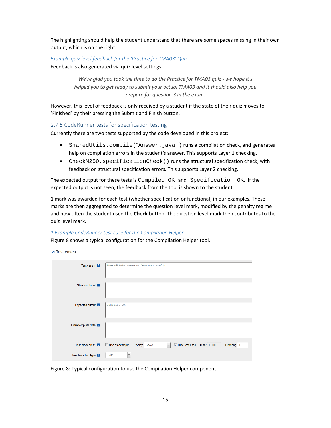The highlighting should help the student understand that there are some spaces missing in their own output, which is on the right.

#### *Example quiz level feedback for the 'Practice for TMA03' Quiz*

Feedback is also generated via quiz level settings:

*We're glad you took the time to do the Practice for TMA03 quiz ‐ we hope it's helped you to get ready to submit your actual TMA03 and it should also help you prepare for question 3 in the exam.*

However, this level of feedback is only received by a student if the state of their quiz moves to 'Finished' by their pressing the Submit and Finish button.

#### 2.7.5 CodeRunner tests for specification testing

Currently there are two tests supported by the code developed in this project:

- SharedUtils.compile("Answer.java ") runs a compilation check, and generates help on compilation errors in the student's answer. This supports Layer 1 checking.
- CheckM250.specificationCheck() runs the structural specification check, with feedback on structural specification errors. This supports Layer 2 checking.

The expected output for these tests is Compiled OK and Specification OK. If the expected output is not seen, the feedback from the tool is shown to the student.

1 mark was awarded for each test (whether specification or functional) in our examples. These marks are then aggregated to determine the question level mark, modified by the penalty regime and how often the student used the **Check** button. The question level mark then contributes to the quiz level mark.

#### *1 Example CodeRunner test case for the Compilation Helper*

Figure 8 shows a typical configuration for the Compilation Helper tool.

 $\sim$  Test cases

| Test case 1 2               | SharedUtils.compile("Answer.java");                                                                                                  |
|-----------------------------|--------------------------------------------------------------------------------------------------------------------------------------|
| Standard Input 2            |                                                                                                                                      |
| Expected output 2           | Compiled OK                                                                                                                          |
| Extra template data         |                                                                                                                                      |
| Test properties:            | $\blacksquare$ Hide rest if fail<br>Use as example<br>Mark 1.000<br>Ordering 0<br><b>Display</b><br>Show<br>$\overline{\phantom{a}}$ |
| Precheck test type <b>2</b> | $\blacktriangledown$<br><b>Both</b>                                                                                                  |

Figure 8: Typical configuration to use the Compilation Helper component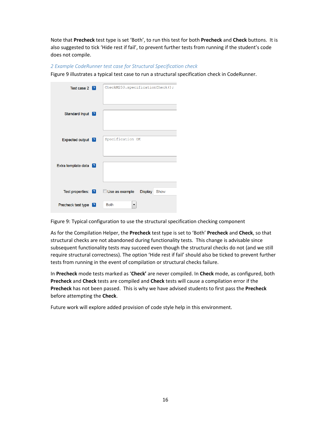Note that **Precheck** test type is set 'Both', to run this test for both **Precheck** and **Check** buttons. It is also suggested to tick 'Hide rest if fail', to prevent further tests from running if the student's code does not compile.

## *2 Example CodeRunner test case for Structural Specification check*

Figure 9 illustrates a typical test case to run a structural specification check in CodeRunner.

| Test case 2 2               | CheckM250.specificationCheck(); |
|-----------------------------|---------------------------------|
| Standard Input <b>2</b>     |                                 |
| Expected output 2           | Specification OK                |
| Extra template data 2       |                                 |
| Test properties: 2          | Use as example  Display<br>Show |
| <b>Precheck test type</b> 2 | <b>Both</b><br>▼                |

Figure 9: Typical configuration to use the structural specification checking component

As for the Compilation Helper, the **Precheck** test type is set to 'Both' **Precheck** and **Check**, so that structural checks are not abandoned during functionality tests. This change is advisable since subsequent functionality tests may succeed even though the structural checks do not (and we still require structural correctness). The option 'Hide rest if fail' should also be ticked to prevent further tests from running in the event of compilation or structural checks failure.

In **Precheck** mode tests marked as '**Check'** are never compiled. In **Check** mode, as configured, both **Precheck** and **Check** tests are compiled and **Check** tests will cause a compilation error if the **Precheck** has not been passed. This is why we have advised students to first pass the **Precheck** before attempting the **Check**.

Future work will explore added provision of code style help in this environment.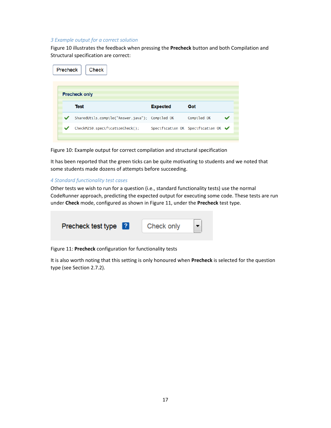#### *3 Example output for a correct solution*

Figure 10 illustrates the feedback when pressing the **Precheck** button and both Compilation and Structural specification are correct:

| Precheck | <b>Check</b>                                    |                 |                                                        |  |
|----------|-------------------------------------------------|-----------------|--------------------------------------------------------|--|
|          | <b>Precheck only</b>                            |                 |                                                        |  |
|          | Test                                            | <b>Expected</b> | Got                                                    |  |
|          | SharedUtils.compile("Answer.java"); Compiled OK |                 | Compiled OK                                            |  |
|          | CheckM250.specificationCheck();                 |                 | Specification OK Specification OK $\blacktriangledown$ |  |
|          |                                                 |                 |                                                        |  |

Figure 10: Example output for correct compilation and structural specification

It has been reported that the green ticks can be quite motivating to students and we noted that some students made dozens of attempts before succeeding.

#### *4 Standard functionality test cases*

Other tests we wish to run for a question (i.e., standard functionality tests) use the normal CodeRunner approach, predicting the expected output for executing some code. These tests are run under **Check** mode, configured as shown in Figure 11, under the **Precheck** test type.

| Precheck test type ? | Check only |  |
|----------------------|------------|--|
|                      |            |  |

Figure 11: **Precheck** configuration for functionality tests

It is also worth noting that this setting is only honoured when **Precheck** is selected for the question type (see Section 2.7.2).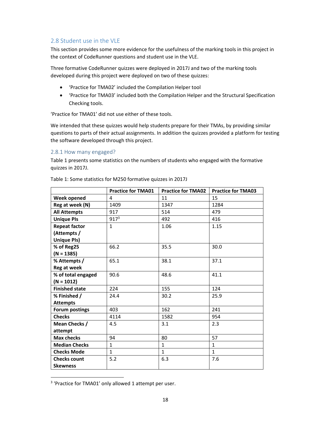# 2.8 Student use in the VLE

This section provides some more evidence for the usefulness of the marking tools in this project in the context of CodeRunner questions and student use in the VLE.

Three formative CodeRunner quizzes were deployed in 2017J and two of the marking tools developed during this project were deployed on two of these quizzes:

- 'Practice for TMA02' included the Compilation Helper tool
- 'Practice for TMA03' included both the Compilation Helper and the Structural Specification Checking tools.

'Practice for TMA01' did not use either of these tools.

We intended that these quizzes would help students prepare for their TMAs, by providing similar questions to parts of their actual assignments. In addition the quizzes provided a platform for testing the software developed through this project.

## 2.8.1 How many engaged?

Table 1 presents some statistics on the numbers of students who engaged with the formative quizzes in 2017J.

|                       | <b>Practice for TMA01</b> | <b>Practice for TMA02</b> | <b>Practice for TMA03</b> |
|-----------------------|---------------------------|---------------------------|---------------------------|
| Week opened           | 4                         | 11                        | 15                        |
| Reg at week (N)       | 1409                      | 1347                      | 1284                      |
| <b>All Attempts</b>   | 917                       | 514                       | 479                       |
| <b>Unique PIs</b>     | 917 <sup>3</sup>          | 492                       | 416                       |
| <b>Repeat factor</b>  | $\mathbf{1}$              | 1.06                      | 1.15                      |
| (Attempts /           |                           |                           |                           |
| <b>Unique PIs)</b>    |                           |                           |                           |
| % of Reg25            | 66.2                      | 35.5                      | 30.0                      |
| $(N = 1385)$          |                           |                           |                           |
| % Attempts /          | 65.1                      | 38.1                      | 37.1                      |
| <b>Reg at week</b>    |                           |                           |                           |
| % of total engaged    | 90.6                      | 48.6                      | 41.1                      |
| $(N = 1012)$          |                           |                           |                           |
| <b>Finished state</b> | 224                       | 155                       | 124                       |
| % Finished /          | 24.4                      | 30.2                      | 25.9                      |
| <b>Attempts</b>       |                           |                           |                           |
| <b>Forum postings</b> | 403                       | 162                       | 241                       |
| <b>Checks</b>         | 4114                      | 1582                      | 954                       |
| Mean Checks /         | 4.5                       | 3.1                       | 2.3                       |
| attempt               |                           |                           |                           |
| <b>Max checks</b>     | 94                        | 80                        | 57                        |
| <b>Median Checks</b>  | $\mathbf{1}$              | $\mathbf{1}$              | $\mathbf{1}$              |
| <b>Checks Mode</b>    | $\mathbf{1}$              | $\mathbf{1}$              | $\mathbf{1}$              |
| <b>Checks count</b>   | 5.2                       | 6.3                       | 7.6                       |
| <b>Skewness</b>       |                           |                           |                           |

Table 1: Some statistics for M250 formative quizzes in 2017J

<sup>&</sup>lt;sup>3</sup> 'Practice for TMA01' only allowed 1 attempt per user.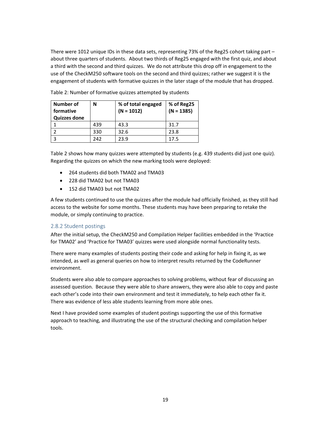There were 1012 unique IDs in these data sets, representing 73% of the Reg25 cohort taking part – about three quarters of students. About two thirds of Reg25 engaged with the first quiz, and about a third with the second and third quizzes. We do not attribute this drop off in engagement to the use of the CheckM250 software tools on the second and third quizzes; rather we suggest it is the engagement of students with formative quizzes in the later stage of the module that has dropped.

| Number of<br>formative<br><b>Quizzes done</b> | N   | % of total engaged<br>$(N = 1012)$ | % of Reg25<br>$(N = 1385)$ |
|-----------------------------------------------|-----|------------------------------------|----------------------------|
|                                               | 439 | 43.3                               | 31.7                       |
|                                               | 330 | 32.6                               | 23.8                       |
| Р                                             | 242 | 23.9                               | 175                        |

Table 2: Number of formative quizzes attempted by students

Table 2 shows how many quizzes were attempted by students (e.g. 439 students did just one quiz). Regarding the quizzes on which the new marking tools were deployed:

- 264 students did both TMA02 and TMA03
- 228 did TMA02 but not TMA03
- $\bullet$  152 did TMA03 but not TMA02

A few students continued to use the quizzes after the module had officially finished, as they still had access to the website for some months. These students may have been preparing to retake the module, or simply continuing to practice.

#### 2.8.2 Student postings

After the initial setup, the CheckM250 and Compilation Helper facilities embedded in the 'Practice for TMA02' and 'Practice for TMA03' quizzes were used alongside normal functionality tests.

There were many examples of students posting their code and asking for help in fixing it, as we intended, as well as general queries on how to interpret results returned by the CodeRunner environment.

Students were also able to compare approaches to solving problems, without fear of discussing an assessed question. Because they were able to share answers, they were also able to copy and paste each other's code into their own environment and test it immediately, to help each other fix it. There was evidence of less able students learning from more able ones.

Next I have provided some examples of student postings supporting the use of this formative approach to teaching, and illustrating the use of the structural checking and compilation helper tools.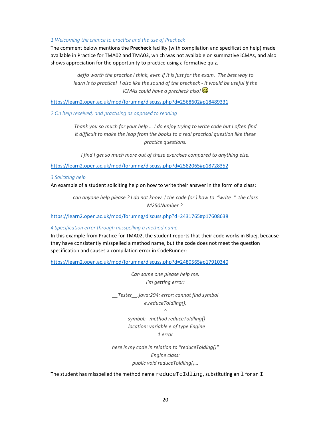#### *1 Welcoming the chance to practice and the use of Precheck*

The comment below mentions the **Precheck** facility (with compilation and specification help) made available in Practice for TMA02 and TMA03, which was not available on summative iCMAs, and also shows appreciation for the opportunity to practice using a formative quiz.

*deffo worth the practice I think, even if it is just for the exam. The best way to* learn is to practice! I also like the sound of the precheck - it would be useful if the *iCMAs could have a precheck also!* 

https://learn2.open.ac.uk/mod/forumng/discuss.php?d=2568602#p18489331

*2 On help received, and practising as opposed to reading* 

*Thank you so much for your help … I do enjoy trying to write code but I often find it difficult to make the leap from the books to a real practical question like these practice questions.*

*I find I get so much more out of these exercises compared to anything else.*

https://learn2.open.ac.uk/mod/forumng/discuss.php?d=2582065#p18728352

*3 Soliciting help* 

An example of a student soliciting help on how to write their answer in the form of a class:

can anyone help please ? I do not know (the code for) how to "write" the class *M250Number ?* 

https://learn2.open.ac.uk/mod/forumng/discuss.php?d=2431765#p17608638

*4 Specification error through misspelling a method name* 

In this example from Practice for TMA02, the student reports that their code works in Bluej, because they have consistently misspelled a method name, but the code does not meet the question specification and causes a compilation error in CodeRunner:

https://learn2.open.ac.uk/mod/forumng/discuss.php?d=2480565#p17910340

*Can some one please help me. I'm getting error:*

*\_\_Tester\_\_.java:294: error: cannot find symbol e.reduceToIdling();*

*^*

 *symbol: method reduceToIdling() location: variable e of type Engine 1 error*

*here is my code in relation to "reduceTolding()" Engine class: public void reduceToldling()…* 

The student has misspelled the method name  $reducedToIdling$ , substituting an  $1$  for an  $I$ .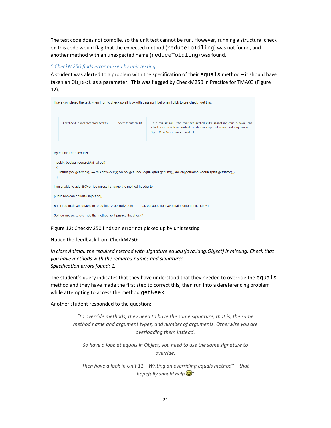The test code does not compile, so the unit test cannot be run. However, running a structural check on this code would flag that the expected method (reduceToIdling) was not found, and another method with an unexpected name (reduceToldling) was found.

# *5 CheckM250 finds error missed by unit testing*

A student was alerted to a problem with the specification of their equals method – it should have taken an Object as a parameter. This was flagged by CheckM250 in Practice for TMA03 (Figure 12).

|                                                                    |                  | I have completed the task when i run to check so all is ok with passing it but when i click to pre-check i get this:                                                            |
|--------------------------------------------------------------------|------------------|---------------------------------------------------------------------------------------------------------------------------------------------------------------------------------|
| CheckM250.specificationCheck();                                    | Specification OK | In class Animal, the required method with signature equals(java.lang.0)<br>Check that you have methods with the required names and signatures.<br>Specification errors found: 1 |
| My equals i created this:<br>public boolean equals(Animal obj)     |                  | return (obj.getWeek() == this.getWeek()) && obj.getKind().equals(this.getKind()) && obj.getName().equals(this.getName());                                                       |
| I am unable to add @Override unless i change the method header to: |                  |                                                                                                                                                                                 |
| public boolean equals(Object obj)                                  |                  |                                                                                                                                                                                 |
| But if i do that i am unable to to do this -> obj.getWeek()        |                  | // as obj does not have that method (this i know).                                                                                                                              |
| So how are we to override the method so it passes the check?       |                  |                                                                                                                                                                                 |

#### Figure 12: CheckM250 finds an error not picked up by unit testing

#### Notice the feedback from CheckM250:

*In class Animal, the required method with signature equals(java.lang.Object) is missing. Check that you have methods with the required names and signatures. Specification errors found: 1.*

The student's query indicates that they have understood that they needed to override the equals method and they have made the first step to correct this, then run into a dereferencing problem while attempting to access the method getWeek.

Another student responded to the question:

*"to override methods, they need to have the same signature, that is, the same method name and argument types, and number of arguments. Otherwise you are overloading them instead.*

*So have a look at equals in Object, you need to use the same signature to override.*

*Then have a look in Unit 11. "Writing an overriding equals method" ‐ that hopefully should help "*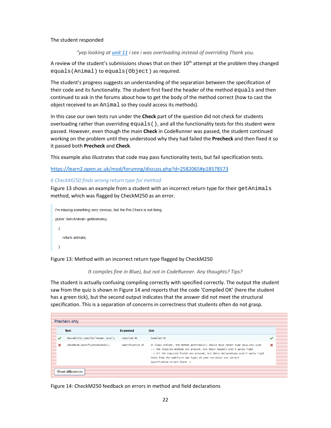#### The student responded

*"yep looking at unit 11 i see i was overloading instead of overriding Thank you.*

A review of the student's submissions shows that on their  $10<sup>th</sup>$  attempt at the problem they changed equals(Animal) to equals(Object) as required.

The student's progress suggests an understanding of the separation between the specification of their code and its functionality. The student first fixed the header of the method equals and then continued to ask in the forums about how to get the body of the method correct (how to cast the object received to an Animal so they could access its methods).

In this case our own tests run under the **Check** part of the question did not check for students overloading rather than overriding  $equals()$ , and all the functionality tests for this student were passed. However, even though the main **Check** in CodeRunner was passed, the student continued working on the problem until they understood why they had failed the **Precheck** and then fixed it so it passed both **Precheck** and **Check**.

This example also illustrates that code may pass functionality tests, but fail specification tests.

https://learn2.open.ac.uk/mod/forumng/discuss.php?d=2582065#p18578573

#### *6 CheckM250 finds wrong return type for method*

Figure 13 shows an example from a student with an incorrect return type for their getAnimals method, which was flagged by CheckM250 as an error.

```
I'm missing something very obvious, but the Pre Check is not liking:
public Set<Animal> getAnimals()
 \left\{ \right.return animals:
 -3
```
Figure 13: Method with an incorrect return type flagged by CheckM250

*It compiles fine in BlueJ, but not in CodeRunner. Any thoughts? Tips?*

The student is actually confusing compiling correctly with specified correctly. The output the student saw from the quiz is shown in Figure 14 and reports that the code 'Compiled OK' (here the student has a green tick), but the second output indicates that the answer did not meet the structural specification. This is a separation of concerns in correctness that students often do not grasp.

| Test                                | <b>Expected</b>  | Got                                                                                                                                                                                                                                                                                                                                                        |   |
|-------------------------------------|------------------|------------------------------------------------------------------------------------------------------------------------------------------------------------------------------------------------------------------------------------------------------------------------------------------------------------------------------------------------------------|---|
| SharedUtils.compile("Answer.java"); | Compiled OK      | Compiled OK                                                                                                                                                                                                                                                                                                                                                | ✓ |
| CheckM250.specificationCheck():     | Specification OK | In class Shelter, the method getAnimals() should have return type java.util.List<br>:-( The required methods are present, but their headers aren't quite right<br>:- (All the required fields are present, but their declarations aren't quite right,<br>Check that the modifiers and types of your variables are correct<br>Specification errors found: 2 | × |

Figure 14: CheckM250 feedback on errors in method and field declarations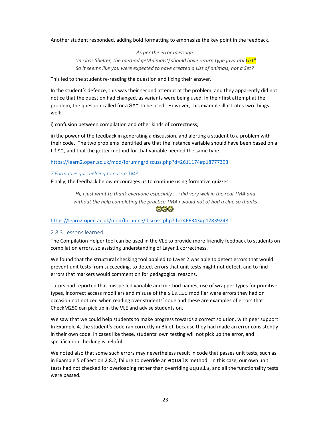Another student responded, adding bold formatting to emphasize the key point in the feedback.

*As per the error message: "In class Shelter, the method getAnimals() should have return type java.util.List" So it seems like you were expected to have created a List of animals, not a Set?* 

This led to the student re‐reading the question and fixing their answer.

In the student's defence, this was their second attempt at the problem, and they apparently did not notice that the question had changed, as variants were being used. In their first attempt at the problem, the question called for a Set to be used. However, this example illustrates two things well:

i) confusion between compilation and other kinds of correctness;

ii) the power of the feedback in generating a discussion, and alerting a student to a problem with their code. The two problems identified are that the instance variable should have been based on a List, and that the getter method for that variable needed the same type.

https://learn2.open.ac.uk/mod/forumng/discuss.php?d=2611174#p18777393

## *7 Formative quiz helping to pass a TMA*

Finally, the feedback below encourages us to continue using formative quizzes:

*Hi, i just want to thank everyone especially … i did very well in the real TMA and without the help completing the practice TMA i would not of had a clue so thanks* 888

# https://learn2.open.ac.uk/mod/forumng/discuss.php?d=2466343#p17839248

# 2.8.3 Lessons learned

The Compilation Helper tool can be used in the VLE to provide more friendly feedback to students on compilation errors, so assisting understanding of Layer 1 correctness.

We found that the structural checking tool applied to Layer 2 was able to detect errors that would prevent unit tests from succeeding, to detect errors that unit tests might not detect, and to find errors that markers would comment on for pedagogical reasons.

Tutors had reported that misspelled variable and method names, use of wrapper types for primitive types, incorrect access modifiers and misuse of the static modifier were errors they had on occasion not noticed when reading over students' code and these are examples of errors that CheckM250 can pick up in the VLE and advise students on.

We saw that we could help students to make progress towards a correct solution, with peer support. In Example 4, the student's code ran correctly in BlueJ, because they had made an error consistently in their own code. In cases like these, students' own testing will not pick up the error, and specification checking is helpful.

We noted also that some such errors may nevertheless result in code that passes unit tests, such as in Example 5 of Section 2.8.2, failure to override an equals method. In this case, our own unit tests had not checked for overloading rather than overriding equals, and all the functionality tests were passed.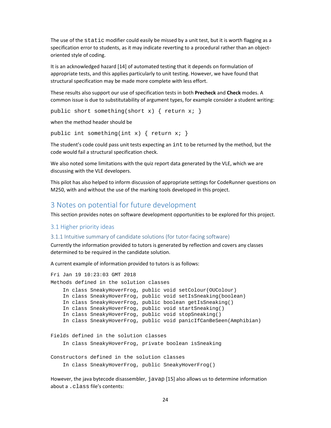The use of the static modifier could easily be missed by a unit test, but it is worth flagging as a specification error to students, as it may indicate reverting to a procedural rather than an objectoriented style of coding.

It is an acknowledged hazard [14] of automated testing that it depends on formulation of appropriate tests, and this applies particularly to unit testing. However, we have found that structural specification may be made more complete with less effort.

These results also support our use of specification tests in both **Precheck** and **Check** modes. A common issue is due to substitutability of argument types, for example consider a student writing:

```
public short something(short x) { return x; }
```
when the method header should be

```
public int something(int x) { return x; }
```
The student's code could pass unit tests expecting an int to be returned by the method, but the code would fail a structural specification check.

We also noted some limitations with the quiz report data generated by the VLE, which we are discussing with the VLE developers.

This pilot has also helped to inform discussion of appropriate settings for CodeRunner questions on M250, with and without the use of the marking tools developed in this project.

# 3 Notes on potential for future development

This section provides notes on software development opportunities to be explored for this project.

#### 3.1 Higher priority ideas

#### 3.1.1 Intuitive summary of candidate solutions (for tutor‐facing software)

Currently the information provided to tutors is generated by reflection and covers any classes determined to be required in the candidate solution.

A current example of information provided to tutors is as follows:

```
Fri Jan 19 10:23:03 GMT 2018 
Methods defined in the solution classes 
     In class SneakyHoverFrog, public void setColour(OUColour) 
     In class SneakyHoverFrog, public void setIsSneaking(boolean) 
     In class SneakyHoverFrog, public boolean getIsSneaking() 
     In class SneakyHoverFrog, public void startSneaking() 
     In class SneakyHoverFrog, public void stopSneaking() 
     In class SneakyHoverFrog, public void panicIfCanBeSeen(Amphibian) 
Fields defined in the solution classes 
     In class SneakyHoverFrog, private boolean isSneaking 
Constructors defined in the solution classes 
     In class SneakyHoverFrog, public SneakyHoverFrog()
```
However, the java bytecode disassembler, javap [15] also allows us to determine information about a .class file's contents: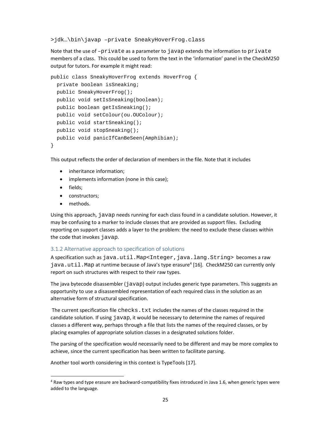>jdk…\bin\javap –private SneakyHoverFrog.class

Note that the use of  $-pri$  vate as a parameter to javap extends the information to  $pri$ vate members of a class. This could be used to form the text in the 'information' panel in the CheckM250 output for tutors. For example it might read:

```
public class SneakyHoverFrog extends HoverFrog { 
   private boolean isSneaking; 
   public SneakyHoverFrog(); 
   public void setIsSneaking(boolean); 
   public boolean getIsSneaking(); 
   public void setColour(ou.OUColour); 
   public void startSneaking(); 
   public void stopSneaking(); 
   public void panicIfCanBeSeen(Amphibian); 
}
```
This output reflects the order of declaration of members in the file. Note that it includes

- inheritance information:
- implements information (none in this case);
- fields;
- constructors:
- methods.

Using this approach, javap needs running for each class found in a candidate solution. However, it may be confusing to a marker to include classes that are provided as support files. Excluding reporting on support classes adds a layer to the problem: the need to exclude these classes within the code that invokes javap.

#### 3.1.2 Alternative approach to specification of solutions

A specification such as java.util.Map<Integer,java.lang.String> becomes a raw java.util.Map at runtime because of Java's type erasure<sup>4</sup> [16]. CheckM250 can currently only report on such structures with respect to their raw types.

The java bytecode disassembler (javap) output includes generic type parameters. This suggests an opportunity to use a disassembled representation of each required class in the solution as an alternative form of structural specification.

The current specification file checks.txt includes the names of the classes required in the candidate solution. If using javap, it would be necessary to determine the names of required classes a different way, perhaps through a file that lists the names of the required classes, or by placing examples of appropriate solution classes in a designated solutions folder.

The parsing of the specification would necessarily need to be different and may be more complex to achieve, since the current specification has been written to facilitate parsing.

Another tool worth considering in this context is TypeTools [17].

<sup>4</sup> Raw types and type erasure are backward‐compatibility fixes introduced in Java 1.6, when generic types were added to the language.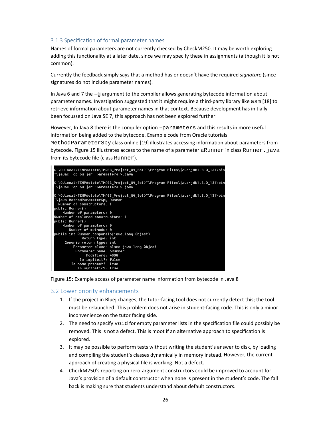# 3.1.3 Specification of formal parameter names

Names of formal parameters are not currently checked by CheckM250. It may be worth exploring adding this functionality at a later date, since we may specify these in assignments (although it is not common).

Currently the feedback simply says that a method has or doesn't have the required *signature* (since signatures do not include parameter names).

In Java 6 and 7 the  $-q$  argument to the compiler allows generating bytecode information about parameter names. Investigation suggested that it might require a third‐party library like asm [18] to retrieve information about parameter names in that context. Because development has initially been focussed on Java SE 7, this approach has not been explored further.

However, In Java 8 there is the compiler option –parameters and this results in more useful information being added to the bytecode. Example code from Oracle tutorials MethodParameterSpy class online [19] illustrates accessing information about parameters from bytecode. Figure 15 illustrates access to the name of a parameter aRunner in class Runner. java from its bytecode file (class Runner).



Figure 15: Example access of parameter name information from bytecode in Java 8

#### 3.2 Lower priority enhancements

- 1. If the project in Bluej changes, the tutor-facing tool does not currently detect this; the tool must be relaunched. This problem does not arise in student‐facing code. This is only a minor inconvenience on the tutor facing side.
- 2. The need to specify void for empty parameter lists in the specification file could possibly be removed. This is not a defect. This is moot if an alternative approach to specification is explored.
- 3. It may be possible to perform tests without writing the student's answer to disk, by loading and compiling the student's classes dynamically in memory instead. However, the current approach of creating a physical file is working. Not a defect.
- 4. CheckM250's reporting on zero‐argument constructors could be improved to account for Java's provision of a default constructor when none is present in the student's code. The fall back is making sure that students understand about default constructors.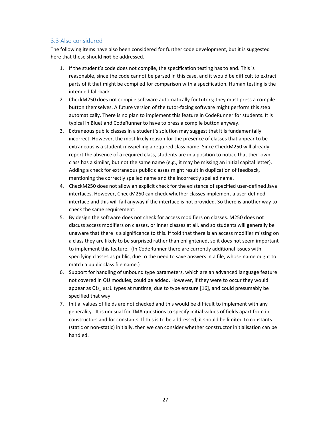# 3.3 Also considered

The following items have also been considered for further code development, but it is suggested here that these should **not** be addressed.

- 1. If the student's code does not compile, the specification testing has to end. This is reasonable, since the code cannot be parsed in this case, and it would be difficult to extract parts of it that might be compiled for comparison with a specification. Human testing is the intended fall‐back.
- 2. CheckM250 does not compile software automatically for tutors; they must press a compile button themselves. A future version of the tutor-facing software might perform this step automatically. There is no plan to implement this feature in CodeRunner for students. It is typical in BlueJ and CodeRunner to have to press a compile button anyway.
- 3. Extraneous public classes in a student's solution may suggest that it is fundamentally incorrect. However, the most likely reason for the presence of classes that appear to be extraneous is a student misspelling a required class name. Since CheckM250 will already report the absence of a required class, students are in a position to notice that their own class has a similar, but not the same name (e.g., it may be missing an initial capital letter). Adding a check for extraneous public classes might result in duplication of feedback, mentioning the correctly spelled name and the incorrectly spelled name.
- 4. CheckM250 does not allow an explicit check for the existence of specified user‐defined Java interfaces. However, CheckM250 can check whether classes implement a user‐defined interface and this will fail anyway if the interface is not provided. So there is another way to check the same requirement.
- 5. By design the software does not check for access modifiers on classes. M250 does not discuss access modifiers on classes, or inner classes at all, and so students will generally be unaware that there is a significance to this. If told that there is an access modifier missing on a class they are likely to be surprised rather than enlightened, so it does not seem important to implement this feature. (In CodeRunner there are currently additional issues with specifying classes as public, due to the need to save answers in a file, whose name ought to match a public class file name.)
- 6. Support for handling of unbound type parameters, which are an advanced language feature not covered in OU modules, could be added. However, if they were to occur they would appear as Object types at runtime, due to type erasure [16], and could presumably be specified that way.
- 7. Initial values of fields are not checked and this would be difficult to implement with any generality. It is unusual for TMA questions to specify initial values of fields apart from in constructors and for constants. If this is to be addressed, it should be limited to constants (static or non‐static) initially, then we can consider whether constructor initialisation can be handled.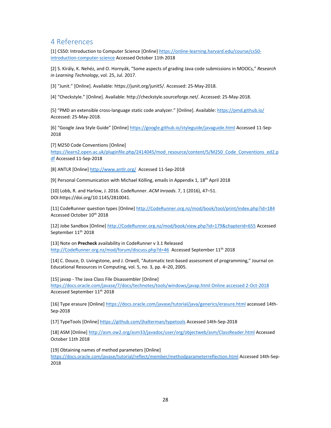# 4 References

[1] CS50: Introduction to Computer Science [Online] https://online‐learning.harvard.edu/course/cs50‐ introduction‐computer‐science Accessed October 11th 2018

[2] S. Király, K. Nehéz, and O. Hornyák, "Some aspects of grading Java code submissions in MOOCs," *Research in Learning Technology*, vol. 25, Jul. 2017.

[3] "Junit." [Online]. Available: https://junit.org/junit5/. Accessed: 25‐May‐2018.

[4] "Checkstyle." [Online]. Available: http://checkstyle.sourceforge.net/. Accessed: 25‐May‐2018.

[5] "PMD an extensible cross-language static code analyzer." [Online]. Available: https://pmd.github.io/ Accessed: 25‐May‐2018.

[6] "Google Java Style Guide" [Online] https://google.github.io/styleguide/javaguide.html Accessed 11‐Sep‐ 2018

[7] M250 Code Conventions [Online] https://learn2.open.ac.uk/pluginfile.php/2414045/mod\_resource/content/5/M250\_Code\_Conventions\_ed2.p df Accessed 11‐Sep‐2018

[8] ANTLR [Online] http://www.antlr.org/ Accessed 11-Sep-2018

[9] Personal Communication with Michael Kölling, emails in Appendix 1, 18th April 2018

[10] Lobb, R. and Harlow, J. 2016. CodeRunner. *ACM Inroads*. 7, 1 (2016), 47–51. DOI:https://doi.org/10.1145/2810041.

[11] CodeRunner question types [Online] http://CodeRunner.org.nz/mod/book/tool/print/index.php?id=184 Accessed October 10th 2018

[12] Jobe Sandbox [Online] http://CodeRunner.org.nz/mod/book/view.php?id=179&chapterid=655 Accessed September 11<sup>th</sup> 2018

[13] Note on **Precheck** availability in CodeRunner v 3.1 Released http://CodeRunner.org.nz/mod/forum/discuss.php?d=46 Accessed September 11<sup>th</sup> 2018

[14] C. Douce, D. Livingstone, and J. Orwell, "Automatic test-based assessment of programming," Journal on Educational Resources in Computing, vol. 5, no. 3, pp. 4–20, 2005.

[15] javap ‐ The Java Class File Disassembler [Online]

https://docs.oracle.com/javase/7/docs/technotes/tools/windows/javap.html Online accessed 2‐Oct‐2018 Accessed September 11th 2018

[16] Type erasure [Online] https://docs.oracle.com/javase/tutorial/java/generics/erasure.html accessed 14th‐ Sep‐2018

[17] TypeTools [Online] https://github.com/jhalterman/typetools Accessed 14th-Sep-2018

[18] ASM [Online] http://asm.ow2.org/asm33/javadoc/user/org/objectweb/asm/ClassReader.html Accessed October 11th 2018

[19] Obtaining names of method parameters [Online]

https://docs.oracle.com/javase/tutorial/reflect/member/methodparameterreflection.html Accessed 14th-Sep-2018